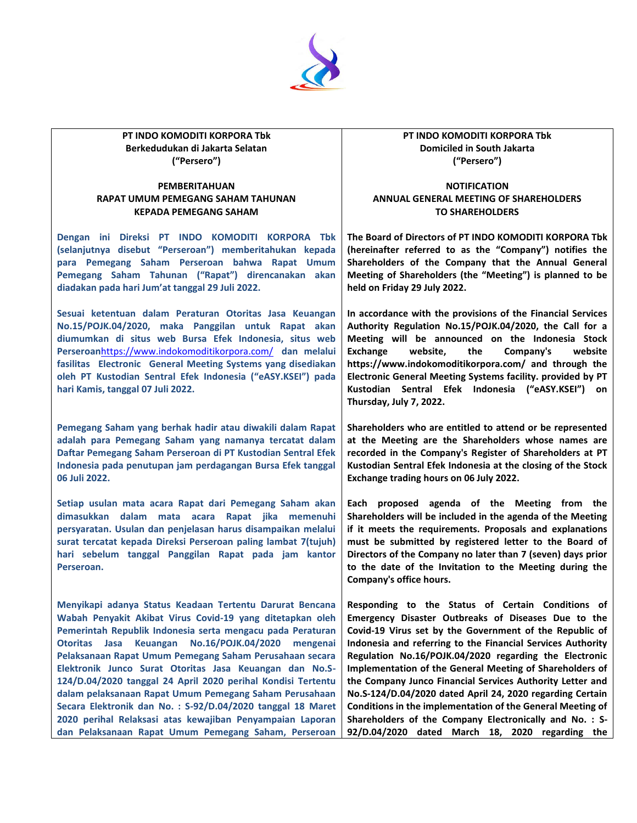

**PT INDO KOMODITI KORPORA Tbk Berkedudukan di Jakarta Selatan ("Persero")**

## **PEMBERITAHUAN RAPAT UMUM PEMEGANG SAHAM TAHUNAN KEPADA PEMEGANG SAHAM**

**Dengan ini Direksi PT INDO KOMODITI KORPORA Tbk (selanjutnya disebut "Perseroan") memberitahukan kepada para Pemegang Saham Perseroan bahwa Rapat Umum Pemegang Saham Tahunan ("Rapat") direncanakan akan diadakan pada hari Jum'at tanggal 29 Juli 2022.**

**Sesuai ketentuan dalam Peraturan Otoritas Jasa Keuangan No.15/POJK.04/2020, maka Panggilan untuk Rapat akan diumumkan di situs web Bursa Efek Indonesia, situs web Perseroan**<https://www.indokomoditikorpora.com/> **dan melalui fasilitas Electronic General Meeting Systems yang disediakan oleh PT Kustodian Sentral Efek Indonesia ("eASY.KSEI") pada hari Kamis, tanggal 07 Juli 2022.**

**Pemegang Saham yang berhak hadir atau diwakili dalam Rapat adalah para Pemegang Saham yang namanya tercatat dalam Daftar Pemegang Saham Perseroan di PT Kustodian Sentral Efek Indonesia pada penutupan jam perdagangan Bursa Efek tanggal 06 Juli 2022.**

**Setiap usulan mata acara Rapat dari Pemegang Saham akan dimasukkan dalam mata acara Rapat jika memenuhi persyaratan. Usulan dan penjelasan harus disampaikan melalui surat tercatat kepada Direksi Perseroan paling lambat 7(tujuh) hari sebelum tanggal Panggilan Rapat pada jam kantor Perseroan.**

**Menyikapi adanya Status Keadaan Tertentu Darurat Bencana Wabah Penyakit Akibat Virus Covid-19 yang ditetapkan oleh Pemerintah Republik Indonesia serta mengacu pada Peraturan Otoritas Jasa Keuangan No.16/POJK.04/2020 mengenai Pelaksanaan Rapat Umum Pemegang Saham Perusahaan secara Elektronik Junco Surat Otoritas Jasa Keuangan dan No.S-124/D.04/2020 tanggal 24 April 2020 perihal Kondisi Tertentu dalam pelaksanaan Rapat Umum Pemegang Saham Perusahaan Secara Elektronik dan No. : S-92/D.04/2020 tanggal 18 Maret 2020 perihal Relaksasi atas kewajiban Penyampaian Laporan dan Pelaksanaan Rapat Umum Pemegang Saham, Perseroan** 

## **PT INDO KOMODITI KORPORA Tbk Domiciled in South Jakarta ("Persero")**

## **NOTIFICATION ANNUAL GENERAL MEETING OF SHAREHOLDERS TO SHAREHOLDERS**

**The Board of Directors of PT INDO KOMODITI KORPORA Tbk (hereinafter referred to as the "Company") notifies the Shareholders of the Company that the Annual General Meeting of Shareholders (the "Meeting") is planned to be held on Friday 29 July 2022.**

**In accordance with the provisions of the Financial Services Authority Regulation No.15/POJK.04/2020, the Call for a Meeting will be announced on the Indonesia Stock Exchange website, the Company's website https://www.indokomoditikorpora.com/ and through the Electronic General Meeting Systems facility. provided by PT Kustodian Sentral Efek Indonesia ("eASY.KSEI") on Thursday, July 7, 2022.**

**Shareholders who are entitled to attend or be represented at the Meeting are the Shareholders whose names are recorded in the Company's Register of Shareholders at PT Kustodian Sentral Efek Indonesia at the closing of the Stock Exchange trading hours on 06 July 2022.**

**Each proposed agenda of the Meeting from the Shareholders will be included in the agenda of the Meeting if it meets the requirements. Proposals and explanations must be submitted by registered letter to the Board of Directors of the Company no later than 7 (seven) days prior to the date of the Invitation to the Meeting during the Company's office hours.**

**Responding to the Status of Certain Conditions of Emergency Disaster Outbreaks of Diseases Due to the Covid-19 Virus set by the Government of the Republic of Indonesia and referring to the Financial Services Authority Regulation No.16/POJK.04/2020 regarding the Electronic Implementation of the General Meeting of Shareholders of the Company Junco Financial Services Authority Letter and No.S-124/D.04/2020 dated April 24, 2020 regarding Certain Conditions in the implementation of the General Meeting of Shareholders of the Company Electronically and No. : S-92/D.04/2020 dated March 18, 2020 regarding the**